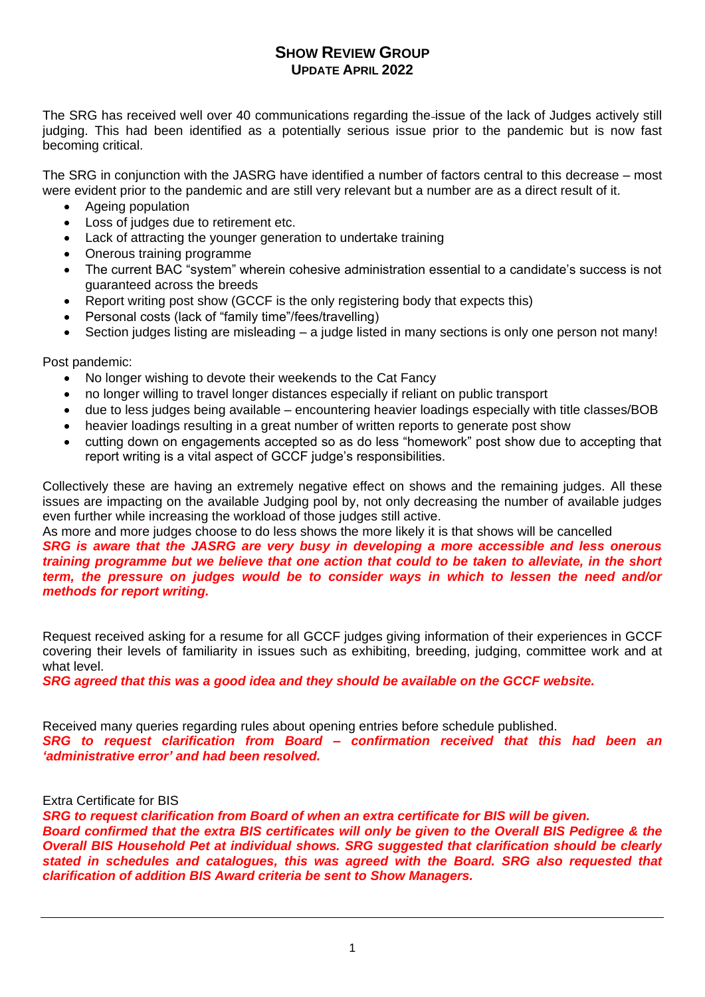## **SHOW REVIEW GROUP UPDATE APRIL 2022**

The SRG has received well over 40 communications regarding the issue of the lack of Judges actively still judging. This had been identified as a potentially serious issue prior to the pandemic but is now fast becoming critical.

The SRG in conjunction with the JASRG have identified a number of factors central to this decrease – most were evident prior to the pandemic and are still very relevant but a number are as a direct result of it.

- Ageing population
- Loss of judges due to retirement etc.
- Lack of attracting the younger generation to undertake training
- Onerous training programme
- The current BAC "system" wherein cohesive administration essential to a candidate's success is not guaranteed across the breeds
- Report writing post show (GCCF is the only registering body that expects this)
- Personal costs (lack of "family time"/fees/travelling)
- Section judges listing are misleading a judge listed in many sections is only one person not many!

Post pandemic:

- No longer wishing to devote their weekends to the Cat Fancy
- no longer willing to travel longer distances especially if reliant on public transport
- due to less judges being available encountering heavier loadings especially with title classes/BOB
- heavier loadings resulting in a great number of written reports to generate post show
- cutting down on engagements accepted so as do less "homework" post show due to accepting that report writing is a vital aspect of GCCF judge's responsibilities.

Collectively these are having an extremely negative effect on shows and the remaining judges. All these issues are impacting on the available Judging pool by, not only decreasing the number of available judges even further while increasing the workload of those judges still active.

As more and more judges choose to do less shows the more likely it is that shows will be cancelled *SRG is aware that the JASRG are very busy in developing a more accessible and less onerous training programme but we believe that one action that could to be taken to alleviate, in the short term, the pressure on judges would be to consider ways in which to lessen the need and/or methods for report writing.* 

Request received asking for a resume for all GCCF judges giving information of their experiences in GCCF covering their levels of familiarity in issues such as exhibiting, breeding, judging, committee work and at what level.

*SRG agreed that this was a good idea and they should be available on the GCCF website.*

Received many queries regarding rules about opening entries before schedule published. *SRG to request clarification from Board – confirmation received that this had been an 'administrative error' and had been resolved.*

## Extra Certificate for BIS

*SRG to request clarification from Board of when an extra certificate for BIS will be given. Board confirmed that the extra BIS certificates will only be given to the Overall BIS Pedigree & the Overall BIS Household Pet at individual shows. SRG suggested that clarification should be clearly stated in schedules and catalogues, this was agreed with the Board. SRG also requested that clarification of addition BIS Award criteria be sent to Show Managers.*